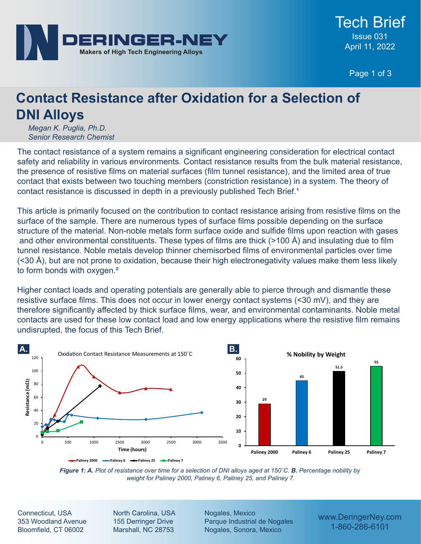

Page 1 of 3

# **Contact Resistance after Oxidation for a Selection of DNI Alloys**

*Megan K. Puglia, Ph.D. Senior Research Chemist*

The contact resistance of a system remains a significant engineering consideration for electrical contact safety and reliability in various environments. Contact resistance results from the bulk material resistance, the presence of resistive films on material surfaces (film tunnel resistance), and the limited area of true contact that exists between two touching members (constriction resistance) in a system. The theory of contact resistance is discussed in depth in a previously published Tech Brief.<sup>1</sup>

This article is primarily focused on the contribution to contact resistance arising from resistive films on the surface of the sample. There are numerous types of surface films possible depending on the surface structure of the material. Non-noble metals form surface oxide and sulfide films upon reaction with gases and other environmental constituents. These types of films are thick (>100 Å) and insulating due to film tunnel resistance. Noble metals develop thinner chemisorbed films of environmental particles over time (<30 Å), but are not prone to oxidation, because their high electronegativity values make them less likely to form bonds with oxygen.<sup>2</sup>

Higher contact loads and operating potentials are generally able to pierce through and dismantle these resistive surface films. This does not occur in lower energy contact systems (<30 mV), and they are therefore significantly affected by thick surface films, wear, and environmental contaminants. Noble metal contacts are used for these low contact load and low energy applications where the resistive film remains undisrupted, the focus of this Tech Brief.



*Figure 1: A. Plot of resistance over time for a selection of DNI alloys aged at 150˚C. B. Percentage nobility by weight for Paliney 2000, Paliney 6, Paliney 25, and Paliney 7.*

Connecticut, USA 353 Woodland Avenue Bloomfield, CT 06002

North Carolina, USA 155 Derringer Drive Marshall, NC 28753

Nogales, Mexico Parque Industrial de Nogales Nogales, Sonora, Mexico

www.DeringerNey.com 1-860-286-6101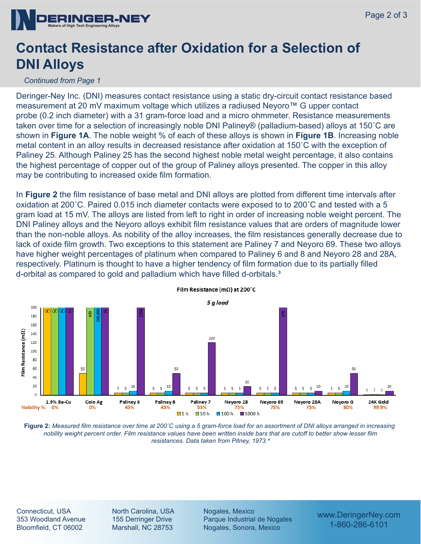

## **Contact Resistance after Oxidation for a Selection of DNI Alloys**

#### *Continued from Page 1*

Deringer-Ney Inc. (DNI) measures contact resistance using a static dry-circuit contact resistance based measurement at 20 mV maximum voltage which utilizes a radiused Neyoro™ G upper contact probe (0.2 inch diameter) with a 31 gram-force load and a micro ohmmeter. Resistance measurements taken over time for a selection of increasingly noble DNI Paliney® (palladium-based) alloys at 150˚C are shown in **Figure 1A**. The noble weight % of each of these alloys is shown in **Figure 1B**. Increasing noble metal content in an alloy results in decreased resistance after oxidation at 150˚C with the exception of Paliney 25. Although Paliney 25 has the second highest noble metal weight percentage, it also contains the highest percentage of copper out of the group of Paliney alloys presented. The copper in this alloy may be contributing to increased oxide film formation.

In **Figure 2** the film resistance of base metal and DNI alloys are plotted from different time intervals after oxidation at 200˚C. Paired 0.015 inch diameter contacts were exposed to to 200˚C and tested with a 5 gram load at 15 mV. The alloys are listed from left to right in order of increasing noble weight percent. The DNI Paliney alloys and the Neyoro alloys exhibit film resistance values that are orders of magnitude lower than the non-noble alloys. As nobility of the alloy increases, the film resistances generally decrease due to lack of oxide film growth. Two exceptions to this statement are Paliney 7 and Neyoro 69. These two alloys have higher weight percentages of platinum when compared to Paliney 6 and 8 and Neyoro 28 and 28A, respectively. Platinum is thought to have a higher tendency of film formation due to its partially filled d-orbital as compared to gold and palladium which have filled d-orbitals.<sup>3</sup>



Film Resistance (m $\Omega$ ) at 200°C

**Figure 2:** *Measured film resistance over time at 200˚C using a 5 gram-force load for an assortment of DNI alloys arranged in increasing nobility weight percent order. Film resistance values have been written inside bars that are cutoff to better show lesser film resistances. Data taken from Pitney, 1973.⁴*

Connecticut, USA 353 Woodland Avenue Bloomfield, CT 06002

North Carolina, USA 155 Derringer Drive Marshall, NC 28753

Nogales, Mexico Parque Industrial de Nogales Nogales, Sonora, Mexico

www.DeringerNey.com 1-860-286-6101